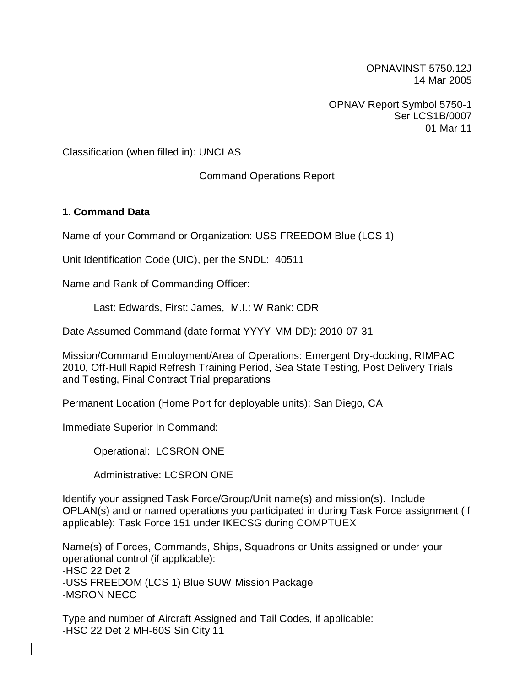OPNAVINST 5750.12J 14 Mar 2005

OPNAV Report Symbol 5750-1 Ser LCS1B/0007 01 Mar 11

Classification (when filled in): UNCLAS

Command Operations Report

# **1. Command Data**

Name of your Command or Organization: USS FREEDOM Blue (LCS 1)

Unit Identification Code (UIC), per the SNDL: 40511

Name and Rank of Commanding Officer:

Last: Edwards, First: James, M.I.: W Rank: CDR

Date Assumed Command (date format YYYY-MM-DD): 2010-07-31

Mission/Command Employment/Area of Operations: Emergent Dry-docking, RIMPAC 2010, Off-Hull Rapid Refresh Training Period, Sea State Testing, Post Delivery Trials and Testing, Final Contract Trial preparations

Permanent Location (Home Port for deployable units): San Diego, CA

Immediate Superior In Command:

Operational: LCSRON ONE

Administrative: LCSRON ONE

Identify your assigned Task Force/Group/Unit name(s) and mission(s). Include OPLAN(s) and or named operations you participated in during Task Force assignment (if applicable): Task Force 151 under IKECSG during COMPTUEX

Name(s) of Forces, Commands, Ships, Squadrons or Units assigned or under your operational control (if applicable): -HSC 22 Det 2 -USS FREEDOM (LCS 1) Blue SUW Mission Package -MSRON NECC

Type and number of Aircraft Assigned and Tail Codes, if applicable: -HSC 22 Det 2 MH-60S Sin City 11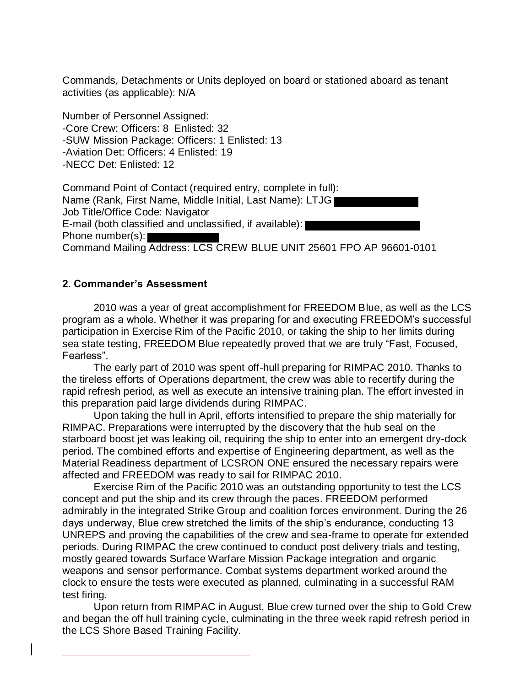Commands, Detachments or Units deployed on board or stationed aboard as tenant activities (as applicable): N/A

Number of Personnel Assigned: -Core Crew: Officers: 8 Enlisted: 32 -SUW Mission Package: Officers: 1 Enlisted: 13 -Aviation Det: Officers: 4 Enlisted: 19 -NECC Det: Enlisted: 12

Command Point of Contact (required entry, complete in full): Name (Rank, First Name, Middle Initial, Last Name): LTJG Job Title/Office Code: Navigator E-mail (both classified and unclassified, if available): Phone number(s): Command Mailing Address: LCS CREW BLUE UNIT 25601 FPO AP 96601-0101

#### **2. Commander's Assessment**

2010 was a year of great accomplishment for FREEDOM Blue, as well as the LCS program as a whole. Whether it was preparing for and executing FREEDOM's successful participation in Exercise Rim of the Pacific 2010, or taking the ship to her limits during sea state testing, FREEDOM Blue repeatedly proved that we are truly "Fast, Focused, Fearless".

The early part of 2010 was spent off-hull preparing for RIMPAC 2010. Thanks to the tireless efforts of Operations department, the crew was able to recertify during the rapid refresh period, as well as execute an intensive training plan. The effort invested in this preparation paid large dividends during RIMPAC.

Upon taking the hull in April, efforts intensified to prepare the ship materially for RIMPAC. Preparations were interrupted by the discovery that the hub seal on the starboard boost jet was leaking oil, requiring the ship to enter into an emergent dry-dock period. The combined efforts and expertise of Engineering department, as well as the Material Readiness department of LCSRON ONE ensured the necessary repairs were affected and FREEDOM was ready to sail for RIMPAC 2010.

Exercise Rim of the Pacific 2010 was an outstanding opportunity to test the LCS concept and put the ship and its crew through the paces. FREEDOM performed admirably in the integrated Strike Group and coalition forces environment. During the 26 days underway, Blue crew stretched the limits of the ship's endurance, conducting 13 UNREPS and proving the capabilities of the crew and sea-frame to operate for extended periods. During RIMPAC the crew continued to conduct post delivery trials and testing, mostly geared towards Surface Warfare Mission Package integration and organic weapons and sensor performance. Combat systems department worked around the clock to ensure the tests were executed as planned, culminating in a successful RAM test firing.

Upon return from RIMPAC in August, Blue crew turned over the ship to Gold Crew and began the off hull training cycle, culminating in the three week rapid refresh period in the LCS Shore Based Training Facility.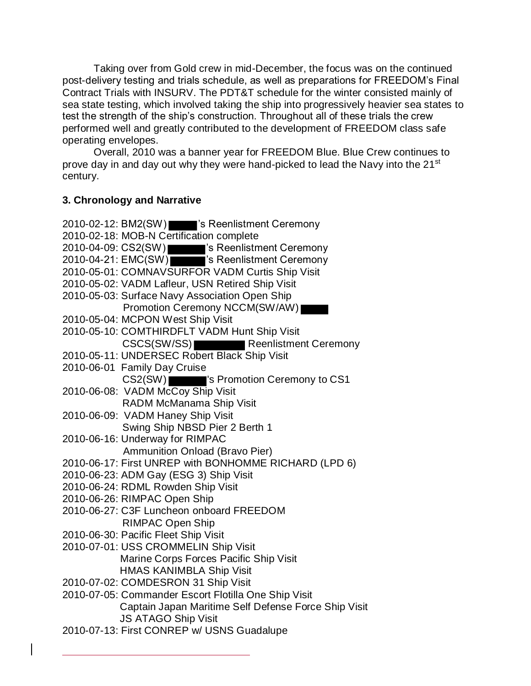Taking over from Gold crew in mid-December, the focus was on the continued post-delivery testing and trials schedule, as well as preparations for FREEDOM's Final Contract Trials with INSURV. The PDT&T schedule for the winter consisted mainly of sea state testing, which involved taking the ship into progressively heavier sea states to test the strength of the ship's construction. Throughout all of these trials the crew performed well and greatly contributed to the development of FREEDOM class safe operating envelopes.

Overall, 2010 was a banner year for FREEDOM Blue. Blue Crew continues to prove day in and day out why they were hand-picked to lead the Navy into the 21<sup>st</sup> century.

# **3. Chronology and Narrative**

| 2010-02-12: BM2(SW) : 's Reenlistment Ceremony                          |
|-------------------------------------------------------------------------|
| 2010-02-18: MOB-N Certification complete                                |
|                                                                         |
| 2010-04-09: CS2(SW)<br>2010-04-21: EMC(SW) Same Presentistment Ceremony |
| 2010-05-01: COMNAVSURFOR VADM Curtis Ship Visit                         |
| 2010-05-02: VADM Lafleur, USN Retired Ship Visit                        |
| 2010-05-03: Surface Navy Association Open Ship                          |
| Promotion Ceremony NCCM(SW/AW)                                          |
| 2010-05-04: MCPON West Ship Visit                                       |
| 2010-05-10: COMTHIRDFLT VADM Hunt Ship Visit                            |
| Reenlistment Ceremony<br>CSCS(SW/SS)                                    |
| 2010-05-11: UNDERSEC Robert Black Ship Visit                            |
| 2010-06-01 Family Day Cruise                                            |
| CS2(SW) SPromotion Ceremony to CS1                                      |
| 2010-06-08: VADM McCoy Ship Visit                                       |
| RADM McManama Ship Visit                                                |
| 2010-06-09: VADM Haney Ship Visit                                       |
| Swing Ship NBSD Pier 2 Berth 1                                          |
| 2010-06-16: Underway for RIMPAC                                         |
| Ammunition Onload (Bravo Pier)                                          |
| 2010-06-17: First UNREP with BONHOMME RICHARD (LPD 6)                   |
| 2010-06-23: ADM Gay (ESG 3) Ship Visit                                  |
| 2010-06-24: RDML Rowden Ship Visit                                      |
| 2010-06-26: RIMPAC Open Ship                                            |
| 2010-06-27: C3F Luncheon onboard FREEDOM                                |
| <b>RIMPAC Open Ship</b>                                                 |
| 2010-06-30: Pacific Fleet Ship Visit                                    |
| 2010-07-01: USS CROMMELIN Ship Visit                                    |
| Marine Corps Forces Pacific Ship Visit                                  |
| <b>HMAS KANIMBLA Ship Visit</b>                                         |
| 2010-07-02: COMDESRON 31 Ship Visit                                     |
| 2010-07-05: Commander Escort Flotilla One Ship Visit                    |
| Captain Japan Maritime Self Defense Force Ship Visit                    |
| <b>JS ATAGO Ship Visit</b>                                              |
| 2010-07-13: First CONREP w/ USNS Guadalupe                              |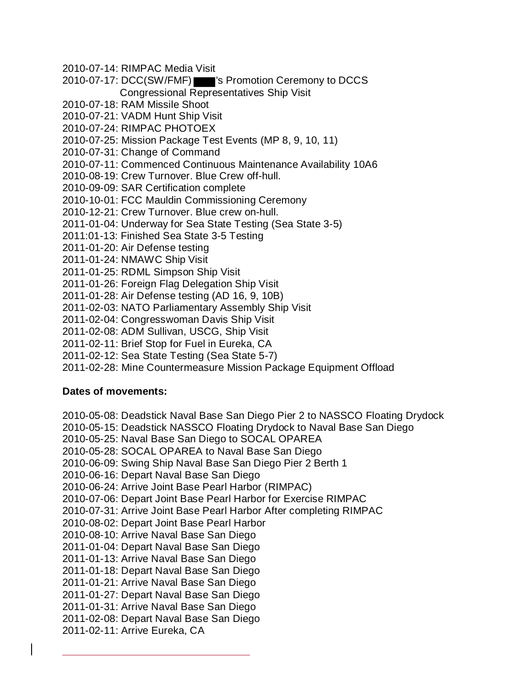- 2010-07-14: RIMPAC Media Visit
- 2010-07-17: DCC(SW/FMF) S Promotion Ceremony to DCCS Congressional Representatives Ship Visit
- 2010-07-18: RAM Missile Shoot
- 2010-07-21: VADM Hunt Ship Visit
- 2010-07-24: RIMPAC PHOTOEX
- 2010-07-25: Mission Package Test Events (MP 8, 9, 10, 11)
- 2010-07-31: Change of Command
- 2010-07-11: Commenced Continuous Maintenance Availability 10A6
- 2010-08-19: Crew Turnover. Blue Crew off-hull.
- 2010-09-09: SAR Certification complete
- 2010-10-01: FCC Mauldin Commissioning Ceremony
- 2010-12-21: Crew Turnover. Blue crew on-hull.
- 2011-01-04: Underway for Sea State Testing (Sea State 3-5)
- 2011:01-13: Finished Sea State 3-5 Testing
- 2011-01-20: Air Defense testing
- 2011-01-24: NMAWC Ship Visit
- 2011-01-25: RDML Simpson Ship Visit
- 2011-01-26: Foreign Flag Delegation Ship Visit
- 2011-01-28: Air Defense testing (AD 16, 9, 10B)
- 2011-02-03: NATO Parliamentary Assembly Ship Visit
- 2011-02-04: Congresswoman Davis Ship Visit
- 2011-02-08: ADM Sullivan, USCG, Ship Visit
- 2011-02-11: Brief Stop for Fuel in Eureka, CA
- 2011-02-12: Sea State Testing (Sea State 5-7)
- 2011-02-28: Mine Countermeasure Mission Package Equipment Offload

#### **Dates of movements:**

- 2010-05-08: Deadstick Naval Base San Diego Pier 2 to NASSCO Floating Drydock
- 2010-05-15: Deadstick NASSCO Floating Drydock to Naval Base San Diego
- 2010-05-25: Naval Base San Diego to SOCAL OPAREA
- 2010-05-28: SOCAL OPAREA to Naval Base San Diego
- 2010-06-09: Swing Ship Naval Base San Diego Pier 2 Berth 1
- 2010-06-16: Depart Naval Base San Diego
- 2010-06-24: Arrive Joint Base Pearl Harbor (RIMPAC)
- 2010-07-06: Depart Joint Base Pearl Harbor for Exercise RIMPAC
- 2010-07-31: Arrive Joint Base Pearl Harbor After completing RIMPAC
- 2010-08-02: Depart Joint Base Pearl Harbor
- 2010-08-10: Arrive Naval Base San Diego
- 2011-01-04: Depart Naval Base San Diego
- 2011-01-13: Arrive Naval Base San Diego
- 2011-01-18: Depart Naval Base San Diego
- 2011-01-21: Arrive Naval Base San Diego
- 2011-01-27: Depart Naval Base San Diego
- 2011-01-31: Arrive Naval Base San Diego
- 2011-02-08: Depart Naval Base San Diego
- 2011-02-11: Arrive Eureka, CA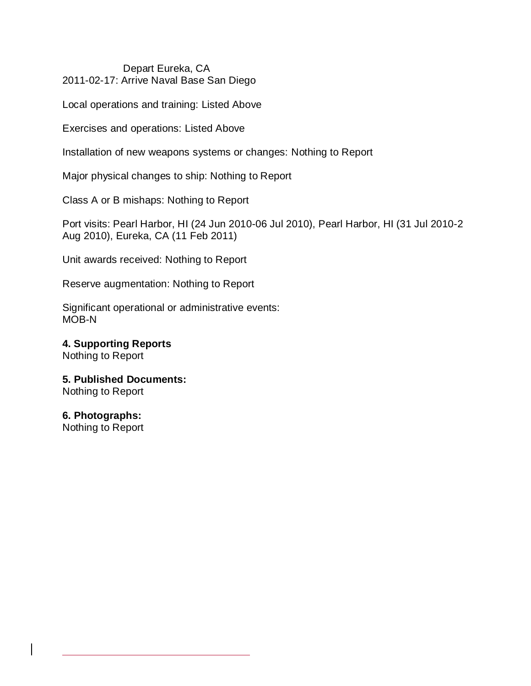### Depart Eureka, CA 2011-02-17: Arrive Naval Base San Diego

Local operations and training: Listed Above

Exercises and operations: Listed Above

Installation of new weapons systems or changes: Nothing to Report

Major physical changes to ship: Nothing to Report

Class A or B mishaps: Nothing to Report

Port visits: Pearl Harbor, HI (24 Jun 2010-06 Jul 2010), Pearl Harbor, HI (31 Jul 2010-2 Aug 2010), Eureka, CA (11 Feb 2011)

Unit awards received: Nothing to Report

Reserve augmentation: Nothing to Report

Significant operational or administrative events: MOB-N

**4. Supporting Reports** Nothing to Report

### **5. Published Documents:** Nothing to Report

**6. Photographs:** Nothing to Report